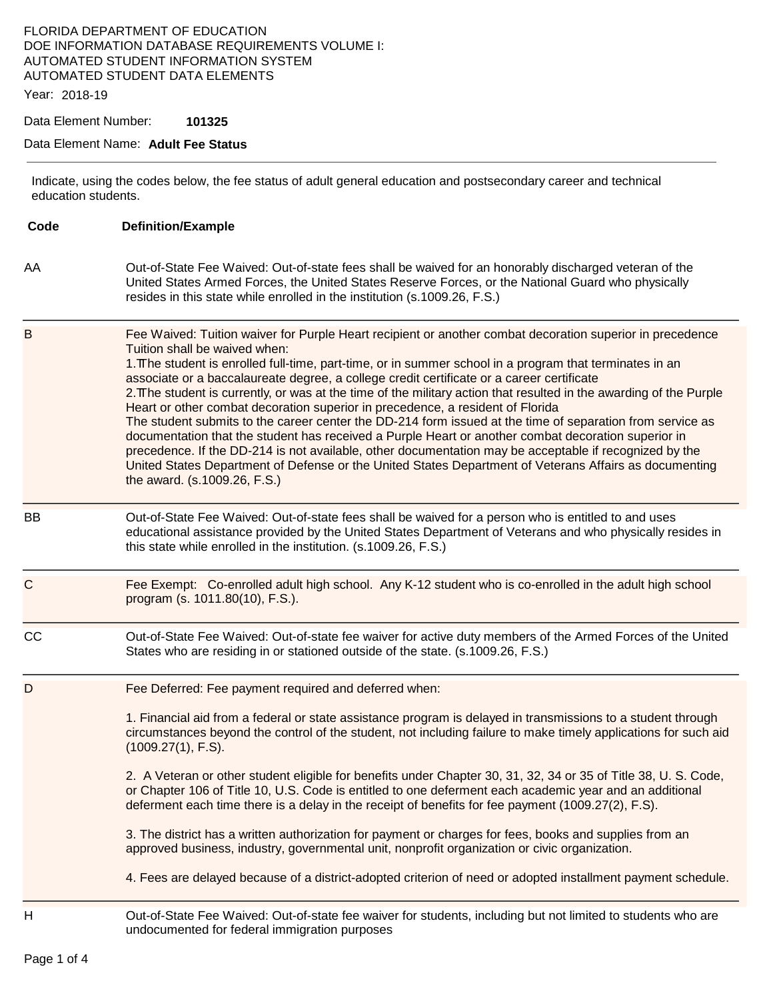### FLORIDA DEPARTMENT OF EDUCATION DOE INFORMATION DATABASE REQUIREMENTS VOLUME I: AUTOMATED STUDENT INFORMATION SYSTEM AUTOMATED STUDENT DATA ELEMENTS

Year: 2018-19

Data Element Number: **101325** 

#### Data Element Name: **Adult Fee Status**

Indicate, using the codes below, the fee status of adult general education and postsecondary career and technical education students.

| Code         | <b>Definition/Example</b>                                                                                                                                                                                                                                                                                                                                                                                                                                                                                                                                                                                                                                                                                                                                                                                                                                                                                                                                                                                                          |  |
|--------------|------------------------------------------------------------------------------------------------------------------------------------------------------------------------------------------------------------------------------------------------------------------------------------------------------------------------------------------------------------------------------------------------------------------------------------------------------------------------------------------------------------------------------------------------------------------------------------------------------------------------------------------------------------------------------------------------------------------------------------------------------------------------------------------------------------------------------------------------------------------------------------------------------------------------------------------------------------------------------------------------------------------------------------|--|
| AA           | Out-of-State Fee Waived: Out-of-state fees shall be waived for an honorably discharged veteran of the<br>United States Armed Forces, the United States Reserve Forces, or the National Guard who physically<br>resides in this state while enrolled in the institution (s.1009.26, F.S.)                                                                                                                                                                                                                                                                                                                                                                                                                                                                                                                                                                                                                                                                                                                                           |  |
| $\mathsf B$  | Fee Waived: Tuition waiver for Purple Heart recipient or another combat decoration superior in precedence<br>Tuition shall be waived when:<br>1. The student is enrolled full-time, part-time, or in summer school in a program that terminates in an<br>associate or a baccalaureate degree, a college credit certificate or a career certificate<br>2. The student is currently, or was at the time of the military action that resulted in the awarding of the Purple<br>Heart or other combat decoration superior in precedence, a resident of Florida<br>The student submits to the career center the DD-214 form issued at the time of separation from service as<br>documentation that the student has received a Purple Heart or another combat decoration superior in<br>precedence. If the DD-214 is not available, other documentation may be acceptable if recognized by the<br>United States Department of Defense or the United States Department of Veterans Affairs as documenting<br>the award. (s.1009.26, F.S.) |  |
| <b>BB</b>    | Out-of-State Fee Waived: Out-of-state fees shall be waived for a person who is entitled to and uses<br>educational assistance provided by the United States Department of Veterans and who physically resides in<br>this state while enrolled in the institution. (s.1009.26, F.S.)                                                                                                                                                                                                                                                                                                                                                                                                                                                                                                                                                                                                                                                                                                                                                |  |
| $\mathsf{C}$ | Fee Exempt: Co-enrolled adult high school. Any K-12 student who is co-enrolled in the adult high school<br>program (s. 1011.80(10), F.S.).                                                                                                                                                                                                                                                                                                                                                                                                                                                                                                                                                                                                                                                                                                                                                                                                                                                                                         |  |
| cc           | Out-of-State Fee Waived: Out-of-state fee waiver for active duty members of the Armed Forces of the United<br>States who are residing in or stationed outside of the state. (s.1009.26, F.S.)                                                                                                                                                                                                                                                                                                                                                                                                                                                                                                                                                                                                                                                                                                                                                                                                                                      |  |
| D            | Fee Deferred: Fee payment required and deferred when:<br>1. Financial aid from a federal or state assistance program is delayed in transmissions to a student through<br>circumstances beyond the control of the student, not including failure to make timely applications for such aid<br>(1009.27(1), F.S).<br>2. A Veteran or other student eligible for benefits under Chapter 30, 31, 32, 34 or 35 of Title 38, U. S. Code,<br>or Chapter 106 of Title 10, U.S. Code is entitled to one deferment each academic year and an additional<br>deferment each time there is a delay in the receipt of benefits for fee payment (1009.27(2), F.S).<br>3. The district has a written authorization for payment or charges for fees, books and supplies from an<br>approved business, industry, governmental unit, nonprofit organization or civic organization.<br>4. Fees are delayed because of a district-adopted criterion of need or adopted installment payment schedule.                                                     |  |
| H            | Out-of-State Fee Waived: Out-of-state fee waiver for students, including but not limited to students who are<br>undocumented for federal immigration purposes                                                                                                                                                                                                                                                                                                                                                                                                                                                                                                                                                                                                                                                                                                                                                                                                                                                                      |  |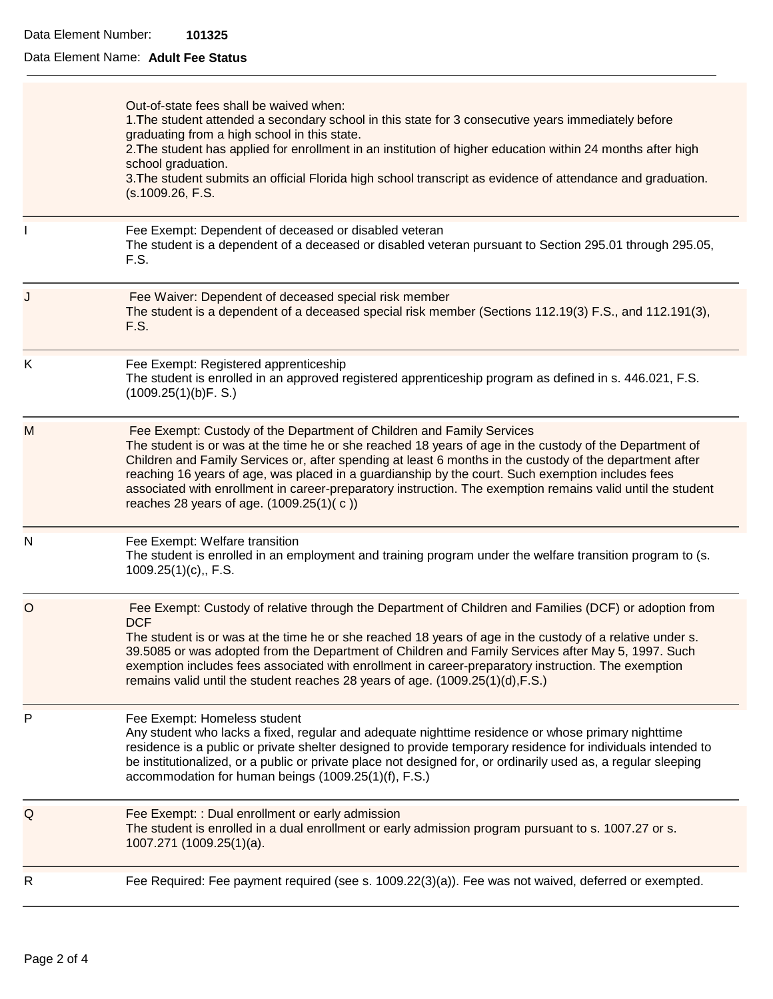# Data Element Name: **Adult Fee Status**

|             | Out-of-state fees shall be waived when:<br>1. The student attended a secondary school in this state for 3 consecutive years immediately before<br>graduating from a high school in this state.<br>2. The student has applied for enrollment in an institution of higher education within 24 months after high<br>school graduation.<br>3. The student submits an official Florida high school transcript as evidence of attendance and graduation.<br>(s.1009.26, F.S.                                                                                       |  |
|-------------|--------------------------------------------------------------------------------------------------------------------------------------------------------------------------------------------------------------------------------------------------------------------------------------------------------------------------------------------------------------------------------------------------------------------------------------------------------------------------------------------------------------------------------------------------------------|--|
|             | Fee Exempt: Dependent of deceased or disabled veteran<br>The student is a dependent of a deceased or disabled veteran pursuant to Section 295.01 through 295.05,<br>F.S.                                                                                                                                                                                                                                                                                                                                                                                     |  |
| J           | Fee Waiver: Dependent of deceased special risk member<br>The student is a dependent of a deceased special risk member (Sections 112.19(3) F.S., and 112.191(3),<br>F.S.                                                                                                                                                                                                                                                                                                                                                                                      |  |
| K           | Fee Exempt: Registered apprenticeship<br>The student is enrolled in an approved registered apprenticeship program as defined in s. 446.021, F.S.<br>(1009.25(1)(b)F.S.)                                                                                                                                                                                                                                                                                                                                                                                      |  |
| M           | Fee Exempt: Custody of the Department of Children and Family Services<br>The student is or was at the time he or she reached 18 years of age in the custody of the Department of<br>Children and Family Services or, after spending at least 6 months in the custody of the department after<br>reaching 16 years of age, was placed in a guardianship by the court. Such exemption includes fees<br>associated with enrollment in career-preparatory instruction. The exemption remains valid until the student<br>reaches 28 years of age. (1009.25(1)(c)) |  |
| N           | Fee Exempt: Welfare transition<br>The student is enrolled in an employment and training program under the welfare transition program to (s.<br>$1009.25(1)(c)$ ., F.S.                                                                                                                                                                                                                                                                                                                                                                                       |  |
| $\circ$     | Fee Exempt: Custody of relative through the Department of Children and Families (DCF) or adoption from<br><b>DCF</b><br>The student is or was at the time he or she reached 18 years of age in the custody of a relative under s.<br>39.5085 or was adopted from the Department of Children and Family Services after May 5, 1997. Such<br>exemption includes fees associated with enrollment in career-preparatory instruction. The exemption<br>remains valid until the student reaches 28 years of age. (1009.25(1)(d), F.S.)                             |  |
| P           | Fee Exempt: Homeless student<br>Any student who lacks a fixed, regular and adequate nighttime residence or whose primary nighttime<br>residence is a public or private shelter designed to provide temporary residence for individuals intended to<br>be institutionalized, or a public or private place not designed for, or ordinarily used as, a regular sleeping<br>accommodation for human beings (1009.25(1)(f), F.S.)                                                                                                                                 |  |
| $\mathsf Q$ | Fee Exempt: : Dual enrollment or early admission<br>The student is enrolled in a dual enrollment or early admission program pursuant to s. 1007.27 or s.<br>1007.271 (1009.25(1)(a).                                                                                                                                                                                                                                                                                                                                                                         |  |
| R           | Fee Required: Fee payment required (see s. 1009.22(3)(a)). Fee was not waived, deferred or exempted.                                                                                                                                                                                                                                                                                                                                                                                                                                                         |  |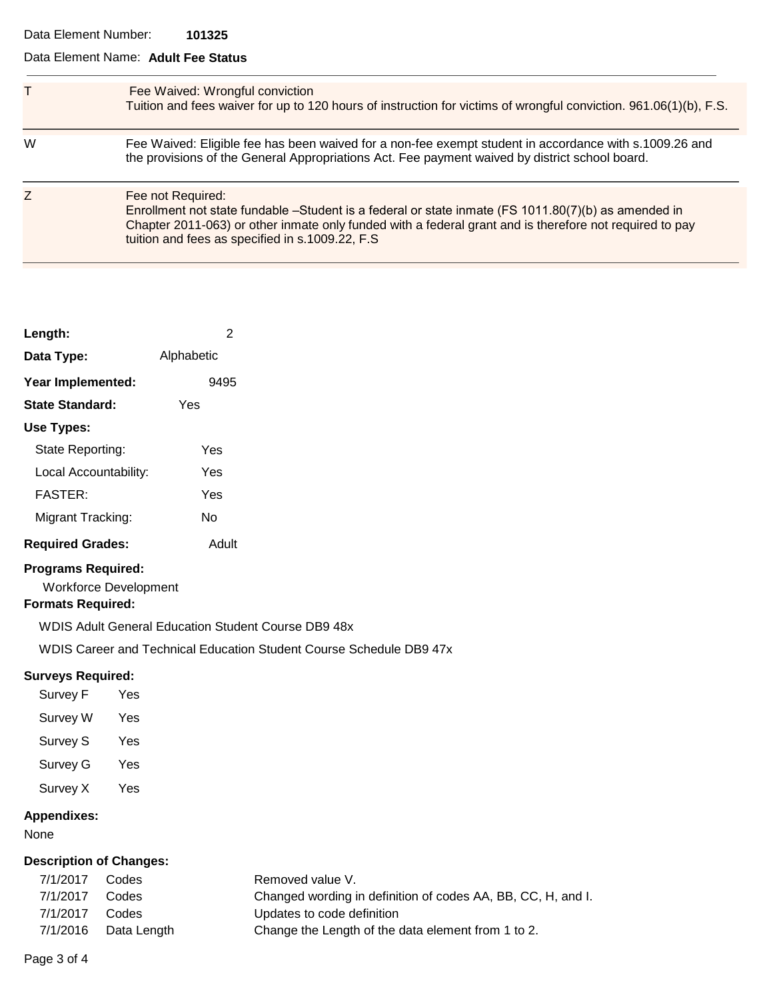#### Data Element Name: **Adult Fee Status**

|   | Fee Waived: Wrongful conviction<br>Tuition and fees waiver for up to 120 hours of instruction for victims of wrongful conviction. 961.06(1)(b), F.S.                                                                                                                                    |
|---|-----------------------------------------------------------------------------------------------------------------------------------------------------------------------------------------------------------------------------------------------------------------------------------------|
| W | Fee Waived: Eligible fee has been waived for a non-fee exempt student in accordance with s.1009.26 and<br>the provisions of the General Appropriations Act. Fee payment waived by district school board.                                                                                |
| Ζ | Fee not Required:<br>Enrollment not state fundable -Student is a federal or state inmate (FS 1011.80(7)(b) as amended in<br>Chapter 2011-063) or other inmate only funded with a federal grant and is therefore not required to pay<br>tuition and fees as specified in s.1009.22, F.S. |

| Length:                 | 2          |
|-------------------------|------------|
| Data Type:              | Alphabetic |
| Year Implemented:       | 9495       |
| <b>State Standard:</b>  | Yes        |
| Use Types:              |            |
| State Reporting:        | Yes        |
| Local Accountability:   | Yes        |
| <b>FASTER:</b>          | Yes        |
| Migrant Tracking:       | N٥         |
| <b>Required Grades:</b> | Adult      |

# **Programs Required:**

Workforce Development

#### **Formats Required:**

WDIS Adult General Education Student Course DB9 48x

WDIS Career and Technical Education Student Course Schedule DB9 47x

# **Surveys Required:**

| Survey F        | Yes |
|-----------------|-----|
| <b>Survey W</b> | Yes |
| <b>Survey S</b> | Yes |
| Survey G        | Yes |
| Survey X        | Yes |
|                 |     |

### **Appendixes:**

None

# **Description of Changes:**

| 7/1/2017 | Codes                | Removed value V.                                             |
|----------|----------------------|--------------------------------------------------------------|
| 7/1/2017 | Codes                | Changed wording in definition of codes AA, BB, CC, H, and I. |
| 7/1/2017 | Codes                | Updates to code definition                                   |
|          | 7/1/2016 Data Length | Change the Length of the data element from 1 to 2.           |